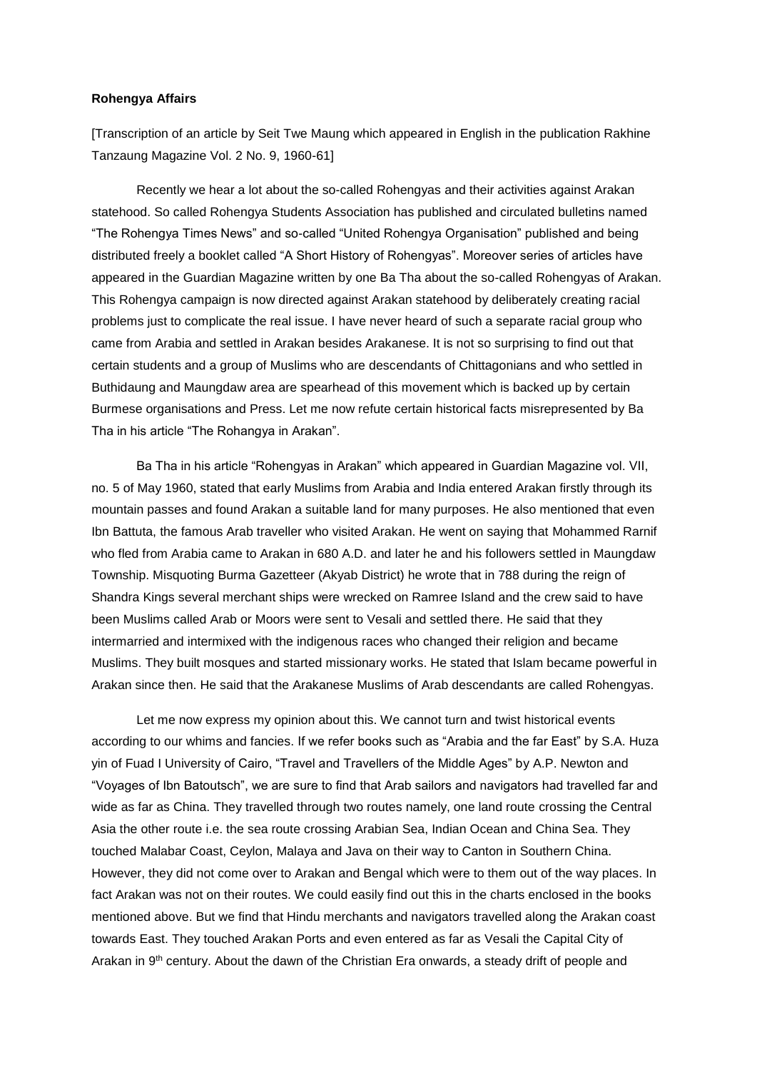## **Rohengya Affairs**

[Transcription of an article by Seit Twe Maung which appeared in English in the publication Rakhine Tanzaung Magazine Vol. 2 No. 9, 1960-61]

Recently we hear a lot about the so-called Rohengyas and their activities against Arakan statehood. So called Rohengya Students Association has published and circulated bulletins named "The Rohengya Times News" and so-called "United Rohengya Organisation" published and being distributed freely a booklet called "A Short History of Rohengyas". Moreover series of articles have appeared in the Guardian Magazine written by one Ba Tha about the so-called Rohengyas of Arakan. This Rohengya campaign is now directed against Arakan statehood by deliberately creating racial problems just to complicate the real issue. I have never heard of such a separate racial group who came from Arabia and settled in Arakan besides Arakanese. It is not so surprising to find out that certain students and a group of Muslims who are descendants of Chittagonians and who settled in Buthidaung and Maungdaw area are spearhead of this movement which is backed up by certain Burmese organisations and Press. Let me now refute certain historical facts misrepresented by Ba Tha in his article "The Rohangya in Arakan".

Ba Tha in his article "Rohengyas in Arakan" which appeared in Guardian Magazine vol. VII, no. 5 of May 1960, stated that early Muslims from Arabia and India entered Arakan firstly through its mountain passes and found Arakan a suitable land for many purposes. He also mentioned that even Ibn Battuta, the famous Arab traveller who visited Arakan. He went on saying that Mohammed Rarnif who fled from Arabia came to Arakan in 680 A.D. and later he and his followers settled in Maungdaw Township. Misquoting Burma Gazetteer (Akyab District) he wrote that in 788 during the reign of Shandra Kings several merchant ships were wrecked on Ramree Island and the crew said to have been Muslims called Arab or Moors were sent to Vesali and settled there. He said that they intermarried and intermixed with the indigenous races who changed their religion and became Muslims. They built mosques and started missionary works. He stated that Islam became powerful in Arakan since then. He said that the Arakanese Muslims of Arab descendants are called Rohengyas.

Let me now express my opinion about this. We cannot turn and twist historical events according to our whims and fancies. If we refer books such as "Arabia and the far East" by S.A. Huza yin of Fuad I University of Cairo, "Travel and Travellers of the Middle Ages" by A.P. Newton and "Voyages of Ibn Batoutsch", we are sure to find that Arab sailors and navigators had travelled far and wide as far as China. They travelled through two routes namely, one land route crossing the Central Asia the other route i.e. the sea route crossing Arabian Sea, Indian Ocean and China Sea. They touched Malabar Coast, Ceylon, Malaya and Java on their way to Canton in Southern China. However, they did not come over to Arakan and Bengal which were to them out of the way places. In fact Arakan was not on their routes. We could easily find out this in the charts enclosed in the books mentioned above. But we find that Hindu merchants and navigators travelled along the Arakan coast towards East. They touched Arakan Ports and even entered as far as Vesali the Capital City of Arakan in 9th century. About the dawn of the Christian Era onwards, a steady drift of people and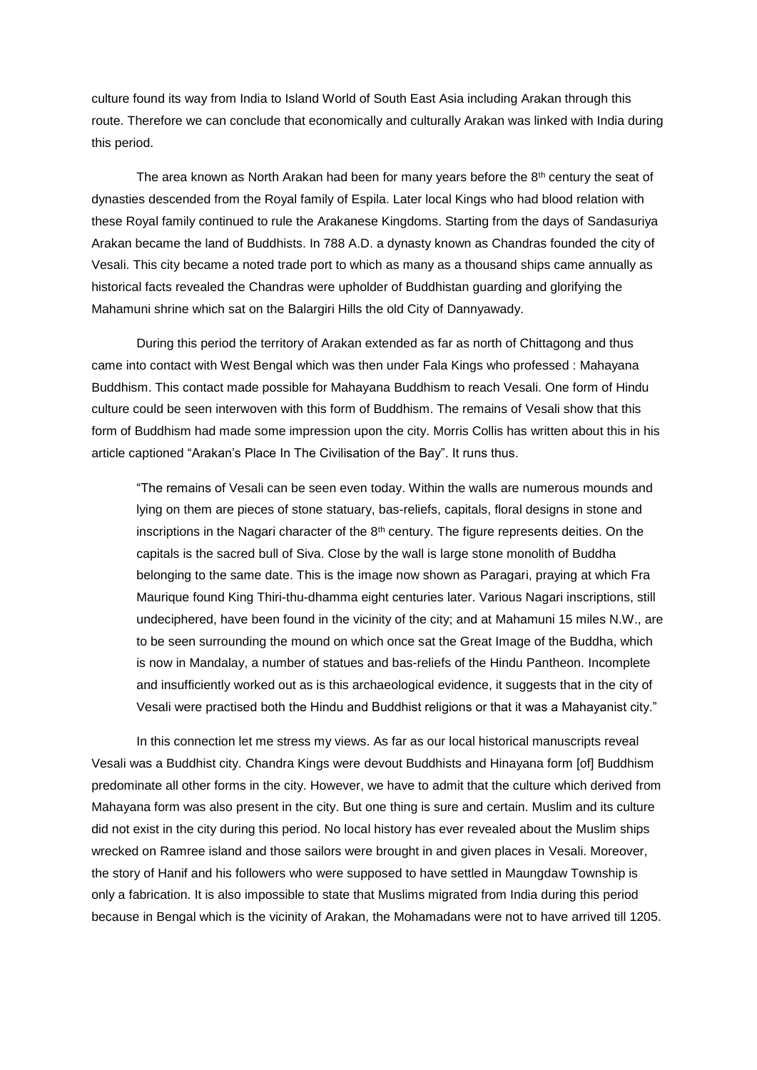culture found its way from India to Island World of South East Asia including Arakan through this route. Therefore we can conclude that economically and culturally Arakan was linked with India during this period.

The area known as North Arakan had been for many years before the  $8<sup>th</sup>$  century the seat of dynasties descended from the Royal family of Espila. Later local Kings who had blood relation with these Royal family continued to rule the Arakanese Kingdoms. Starting from the days of Sandasuriya Arakan became the land of Buddhists. In 788 A.D. a dynasty known as Chandras founded the city of Vesali. This city became a noted trade port to which as many as a thousand ships came annually as historical facts revealed the Chandras were upholder of Buddhistan guarding and glorifying the Mahamuni shrine which sat on the Balargiri Hills the old City of Dannyawady.

During this period the territory of Arakan extended as far as north of Chittagong and thus came into contact with West Bengal which was then under Fala Kings who professed : Mahayana Buddhism. This contact made possible for Mahayana Buddhism to reach Vesali. One form of Hindu culture could be seen interwoven with this form of Buddhism. The remains of Vesali show that this form of Buddhism had made some impression upon the city. Morris Collis has written about this in his article captioned "Arakan's Place In The Civilisation of the Bay". It runs thus.

"The remains of Vesali can be seen even today. Within the walls are numerous mounds and lying on them are pieces of stone statuary, bas-reliefs, capitals, floral designs in stone and inscriptions in the Nagari character of the  $8<sup>th</sup>$  century. The figure represents deities. On the capitals is the sacred bull of Siva. Close by the wall is large stone monolith of Buddha belonging to the same date. This is the image now shown as Paragari, praying at which Fra Maurique found King Thiri-thu-dhamma eight centuries later. Various Nagari inscriptions, still undeciphered, have been found in the vicinity of the city; and at Mahamuni 15 miles N.W., are to be seen surrounding the mound on which once sat the Great Image of the Buddha, which is now in Mandalay, a number of statues and bas-reliefs of the Hindu Pantheon. Incomplete and insufficiently worked out as is this archaeological evidence, it suggests that in the city of Vesali were practised both the Hindu and Buddhist religions or that it was a Mahayanist city."

In this connection let me stress my views. As far as our local historical manuscripts reveal Vesali was a Buddhist city. Chandra Kings were devout Buddhists and Hinayana form [of] Buddhism predominate all other forms in the city. However, we have to admit that the culture which derived from Mahayana form was also present in the city. But one thing is sure and certain. Muslim and its culture did not exist in the city during this period. No local history has ever revealed about the Muslim ships wrecked on Ramree island and those sailors were brought in and given places in Vesali. Moreover, the story of Hanif and his followers who were supposed to have settled in Maungdaw Township is only a fabrication. It is also impossible to state that Muslims migrated from India during this period because in Bengal which is the vicinity of Arakan, the Mohamadans were not to have arrived till 1205.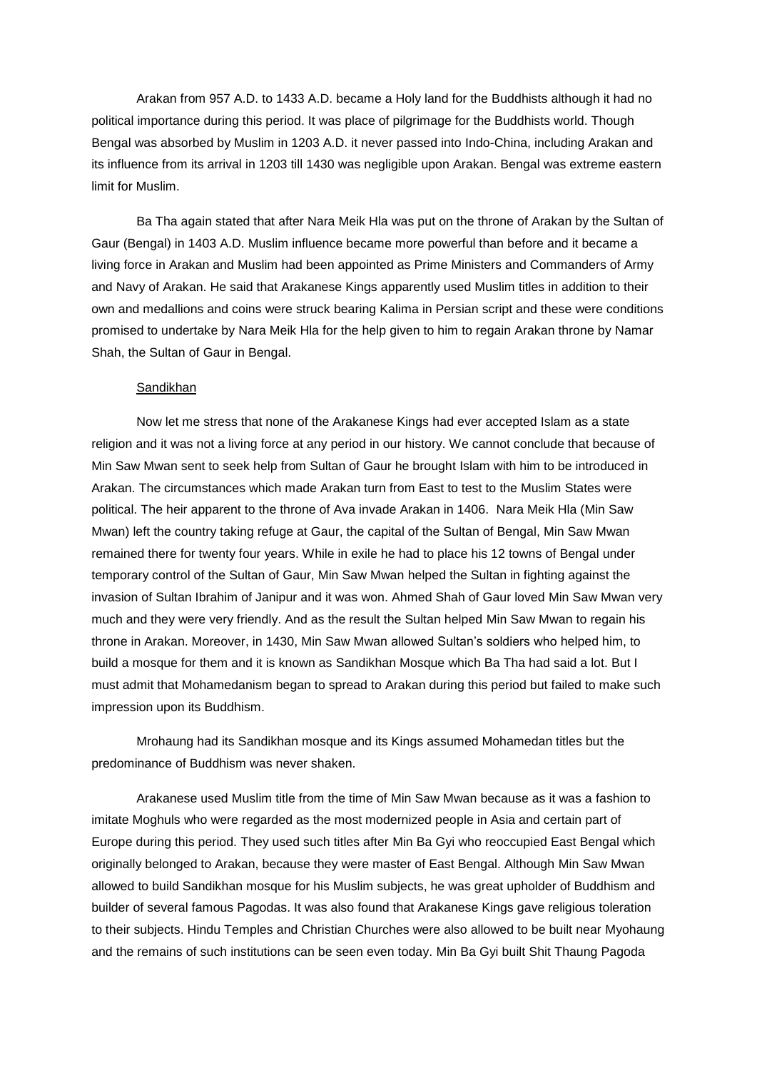Arakan from 957 A.D. to 1433 A.D. became a Holy land for the Buddhists although it had no political importance during this period. It was place of pilgrimage for the Buddhists world. Though Bengal was absorbed by Muslim in 1203 A.D. it never passed into Indo-China, including Arakan and its influence from its arrival in 1203 till 1430 was negligible upon Arakan. Bengal was extreme eastern limit for Muslim.

Ba Tha again stated that after Nara Meik Hla was put on the throne of Arakan by the Sultan of Gaur (Bengal) in 1403 A.D. Muslim influence became more powerful than before and it became a living force in Arakan and Muslim had been appointed as Prime Ministers and Commanders of Army and Navy of Arakan. He said that Arakanese Kings apparently used Muslim titles in addition to their own and medallions and coins were struck bearing Kalima in Persian script and these were conditions promised to undertake by Nara Meik Hla for the help given to him to regain Arakan throne by Namar Shah, the Sultan of Gaur in Bengal.

## Sandikhan

Now let me stress that none of the Arakanese Kings had ever accepted Islam as a state religion and it was not a living force at any period in our history. We cannot conclude that because of Min Saw Mwan sent to seek help from Sultan of Gaur he brought Islam with him to be introduced in Arakan. The circumstances which made Arakan turn from East to test to the Muslim States were political. The heir apparent to the throne of Ava invade Arakan in 1406. Nara Meik Hla (Min Saw Mwan) left the country taking refuge at Gaur, the capital of the Sultan of Bengal, Min Saw Mwan remained there for twenty four years. While in exile he had to place his 12 towns of Bengal under temporary control of the Sultan of Gaur, Min Saw Mwan helped the Sultan in fighting against the invasion of Sultan Ibrahim of Janipur and it was won. Ahmed Shah of Gaur loved Min Saw Mwan very much and they were very friendly. And as the result the Sultan helped Min Saw Mwan to regain his throne in Arakan. Moreover, in 1430, Min Saw Mwan allowed Sultan's soldiers who helped him, to build a mosque for them and it is known as Sandikhan Mosque which Ba Tha had said a lot. But I must admit that Mohamedanism began to spread to Arakan during this period but failed to make such impression upon its Buddhism.

Mrohaung had its Sandikhan mosque and its Kings assumed Mohamedan titles but the predominance of Buddhism was never shaken.

Arakanese used Muslim title from the time of Min Saw Mwan because as it was a fashion to imitate Moghuls who were regarded as the most modernized people in Asia and certain part of Europe during this period. They used such titles after Min Ba Gyi who reoccupied East Bengal which originally belonged to Arakan, because they were master of East Bengal. Although Min Saw Mwan allowed to build Sandikhan mosque for his Muslim subjects, he was great upholder of Buddhism and builder of several famous Pagodas. It was also found that Arakanese Kings gave religious toleration to their subjects. Hindu Temples and Christian Churches were also allowed to be built near Myohaung and the remains of such institutions can be seen even today. Min Ba Gyi built Shit Thaung Pagoda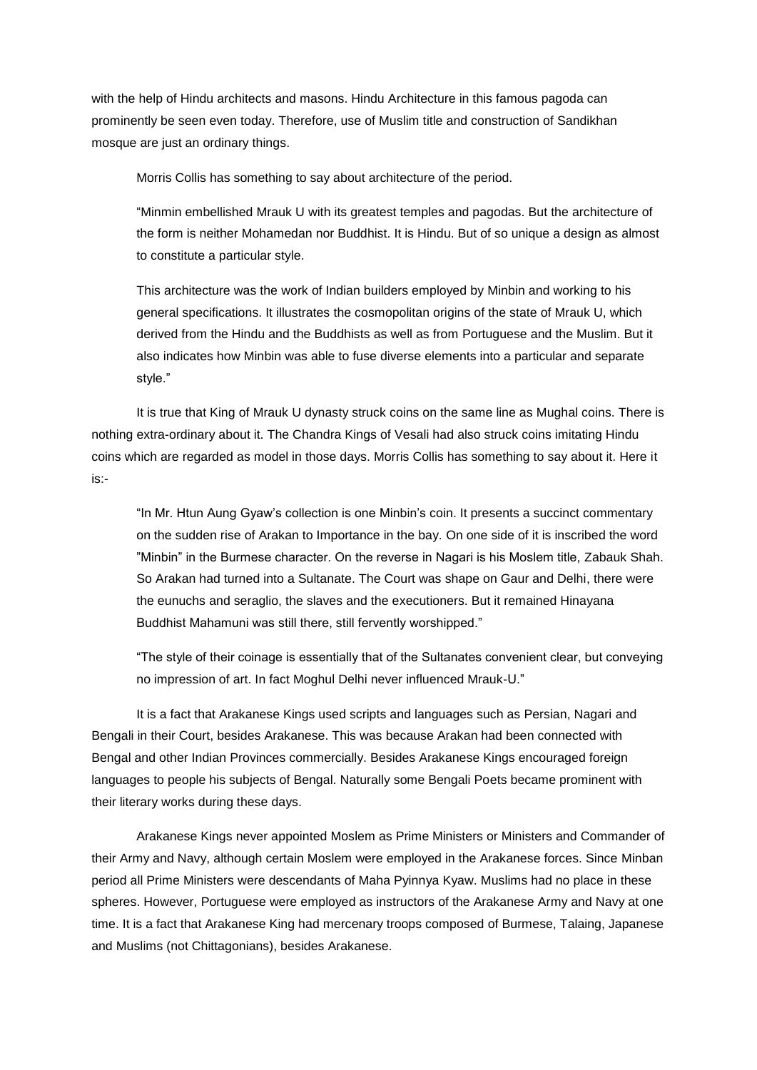with the help of Hindu architects and masons. Hindu Architecture in this famous pagoda can prominently be seen even today. Therefore, use of Muslim title and construction of Sandikhan mosque are just an ordinary things.

Morris Collis has something to say about architecture of the period.

"Minmin embellished Mrauk U with its greatest temples and pagodas. But the architecture of the form is neither Mohamedan nor Buddhist. It is Hindu. But of so unique a design as almost to constitute a particular style.

This architecture was the work of Indian builders employed by Minbin and working to his general specifications. It illustrates the cosmopolitan origins of the state of Mrauk U, which derived from the Hindu and the Buddhists as well as from Portuguese and the Muslim. But it also indicates how Minbin was able to fuse diverse elements into a particular and separate style."

It is true that King of Mrauk U dynasty struck coins on the same line as Mughal coins. There is nothing extra-ordinary about it. The Chandra Kings of Vesali had also struck coins imitating Hindu coins which are regarded as model in those days. Morris Collis has something to say about it. Here it is:-

"In Mr. Htun Aung Gyaw's collection is one Minbin's coin. It presents a succinct commentary on the sudden rise of Arakan to Importance in the bay. On one side of it is inscribed the word "Minbin" in the Burmese character. On the reverse in Nagari is his Moslem title, Zabauk Shah. So Arakan had turned into a Sultanate. The Court was shape on Gaur and Delhi, there were the eunuchs and seraglio, the slaves and the executioners. But it remained Hinayana Buddhist Mahamuni was still there, still fervently worshipped."

"The style of their coinage is essentially that of the Sultanates convenient clear, but conveying no impression of art. In fact Moghul Delhi never influenced Mrauk-U."

It is a fact that Arakanese Kings used scripts and languages such as Persian, Nagari and Bengali in their Court, besides Arakanese. This was because Arakan had been connected with Bengal and other Indian Provinces commercially. Besides Arakanese Kings encouraged foreign languages to people his subjects of Bengal. Naturally some Bengali Poets became prominent with their literary works during these days.

Arakanese Kings never appointed Moslem as Prime Ministers or Ministers and Commander of their Army and Navy, although certain Moslem were employed in the Arakanese forces. Since Minban period all Prime Ministers were descendants of Maha Pyinnya Kyaw. Muslims had no place in these spheres. However, Portuguese were employed as instructors of the Arakanese Army and Navy at one time. It is a fact that Arakanese King had mercenary troops composed of Burmese, Talaing, Japanese and Muslims (not Chittagonians), besides Arakanese.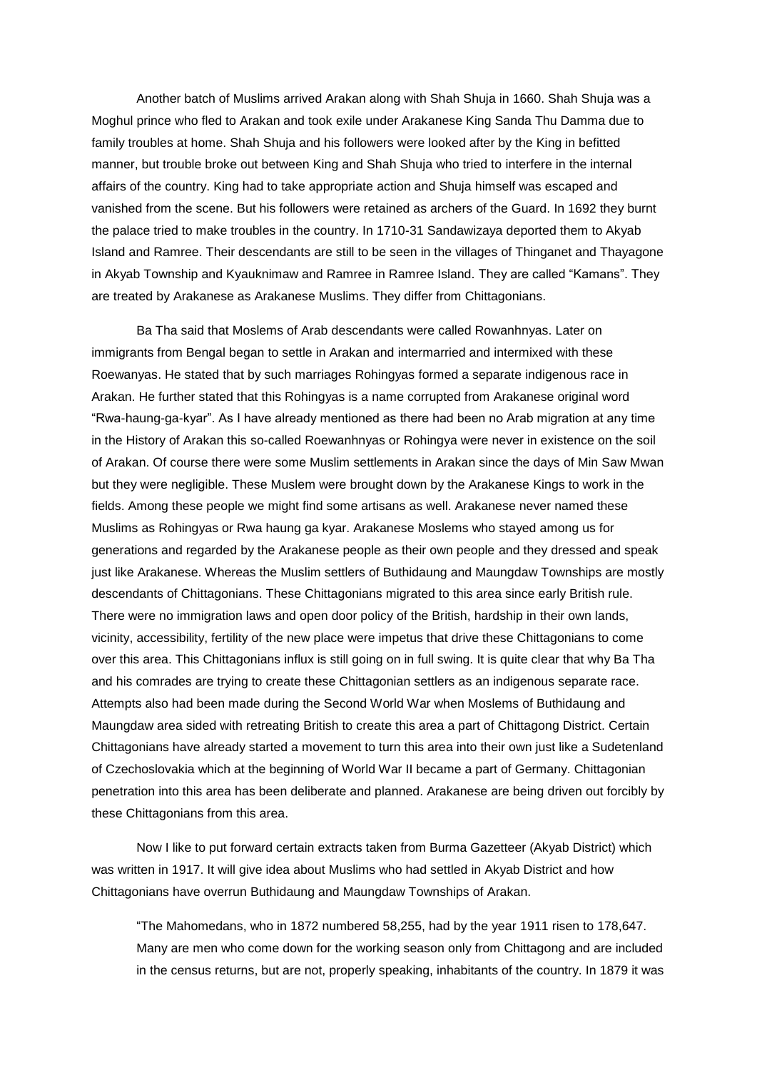Another batch of Muslims arrived Arakan along with Shah Shuja in 1660. Shah Shuja was a Moghul prince who fled to Arakan and took exile under Arakanese King Sanda Thu Damma due to family troubles at home. Shah Shuja and his followers were looked after by the King in befitted manner, but trouble broke out between King and Shah Shuja who tried to interfere in the internal affairs of the country. King had to take appropriate action and Shuja himself was escaped and vanished from the scene. But his followers were retained as archers of the Guard. In 1692 they burnt the palace tried to make troubles in the country. In 1710-31 Sandawizaya deported them to Akyab Island and Ramree. Their descendants are still to be seen in the villages of Thinganet and Thayagone in Akyab Township and Kyauknimaw and Ramree in Ramree Island. They are called "Kamans". They are treated by Arakanese as Arakanese Muslims. They differ from Chittagonians.

Ba Tha said that Moslems of Arab descendants were called Rowanhnyas. Later on immigrants from Bengal began to settle in Arakan and intermarried and intermixed with these Roewanyas. He stated that by such marriages Rohingyas formed a separate indigenous race in Arakan. He further stated that this Rohingyas is a name corrupted from Arakanese original word "Rwa-haung-ga-kyar". As I have already mentioned as there had been no Arab migration at any time in the History of Arakan this so-called Roewanhnyas or Rohingya were never in existence on the soil of Arakan. Of course there were some Muslim settlements in Arakan since the days of Min Saw Mwan but they were negligible. These Muslem were brought down by the Arakanese Kings to work in the fields. Among these people we might find some artisans as well. Arakanese never named these Muslims as Rohingyas or Rwa haung ga kyar. Arakanese Moslems who stayed among us for generations and regarded by the Arakanese people as their own people and they dressed and speak just like Arakanese. Whereas the Muslim settlers of Buthidaung and Maungdaw Townships are mostly descendants of Chittagonians. These Chittagonians migrated to this area since early British rule. There were no immigration laws and open door policy of the British, hardship in their own lands, vicinity, accessibility, fertility of the new place were impetus that drive these Chittagonians to come over this area. This Chittagonians influx is still going on in full swing. It is quite clear that why Ba Tha and his comrades are trying to create these Chittagonian settlers as an indigenous separate race. Attempts also had been made during the Second World War when Moslems of Buthidaung and Maungdaw area sided with retreating British to create this area a part of Chittagong District. Certain Chittagonians have already started a movement to turn this area into their own just like a Sudetenland of Czechoslovakia which at the beginning of World War II became a part of Germany. Chittagonian penetration into this area has been deliberate and planned. Arakanese are being driven out forcibly by these Chittagonians from this area.

Now I like to put forward certain extracts taken from Burma Gazetteer (Akyab District) which was written in 1917. It will give idea about Muslims who had settled in Akyab District and how Chittagonians have overrun Buthidaung and Maungdaw Townships of Arakan.

"The Mahomedans, who in 1872 numbered 58,255, had by the year 1911 risen to 178,647. Many are men who come down for the working season only from Chittagong and are included in the census returns, but are not, properly speaking, inhabitants of the country. In 1879 it was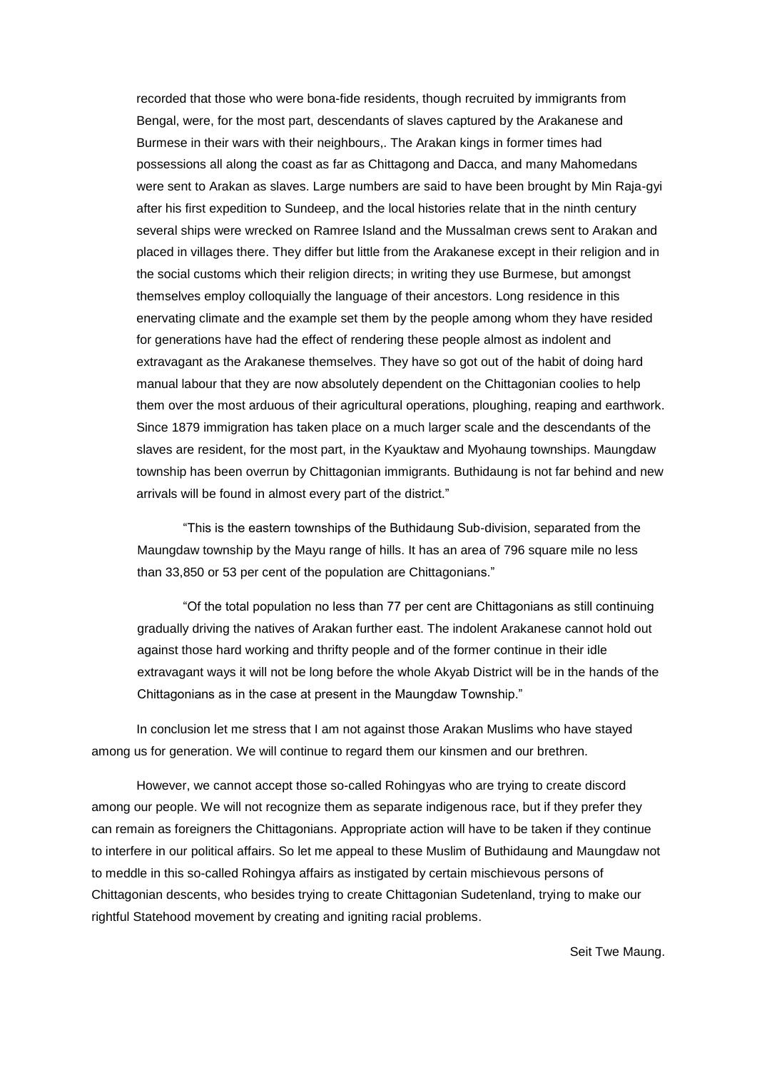recorded that those who were bona-fide residents, though recruited by immigrants from Bengal, were, for the most part, descendants of slaves captured by the Arakanese and Burmese in their wars with their neighbours,. The Arakan kings in former times had possessions all along the coast as far as Chittagong and Dacca, and many Mahomedans were sent to Arakan as slaves. Large numbers are said to have been brought by Min Raja-gyi after his first expedition to Sundeep, and the local histories relate that in the ninth century several ships were wrecked on Ramree Island and the Mussalman crews sent to Arakan and placed in villages there. They differ but little from the Arakanese except in their religion and in the social customs which their religion directs; in writing they use Burmese, but amongst themselves employ colloquially the language of their ancestors. Long residence in this enervating climate and the example set them by the people among whom they have resided for generations have had the effect of rendering these people almost as indolent and extravagant as the Arakanese themselves. They have so got out of the habit of doing hard manual labour that they are now absolutely dependent on the Chittagonian coolies to help them over the most arduous of their agricultural operations, ploughing, reaping and earthwork. Since 1879 immigration has taken place on a much larger scale and the descendants of the slaves are resident, for the most part, in the Kyauktaw and Myohaung townships. Maungdaw township has been overrun by Chittagonian immigrants. Buthidaung is not far behind and new arrivals will be found in almost every part of the district."

"This is the eastern townships of the Buthidaung Sub-division, separated from the Maungdaw township by the Mayu range of hills. It has an area of 796 square mile no less than 33,850 or 53 per cent of the population are Chittagonians."

"Of the total population no less than 77 per cent are Chittagonians as still continuing gradually driving the natives of Arakan further east. The indolent Arakanese cannot hold out against those hard working and thrifty people and of the former continue in their idle extravagant ways it will not be long before the whole Akyab District will be in the hands of the Chittagonians as in the case at present in the Maungdaw Township."

In conclusion let me stress that I am not against those Arakan Muslims who have stayed among us for generation. We will continue to regard them our kinsmen and our brethren.

However, we cannot accept those so-called Rohingyas who are trying to create discord among our people. We will not recognize them as separate indigenous race, but if they prefer they can remain as foreigners the Chittagonians. Appropriate action will have to be taken if they continue to interfere in our political affairs. So let me appeal to these Muslim of Buthidaung and Maungdaw not to meddle in this so-called Rohingya affairs as instigated by certain mischievous persons of Chittagonian descents, who besides trying to create Chittagonian Sudetenland, trying to make our rightful Statehood movement by creating and igniting racial problems.